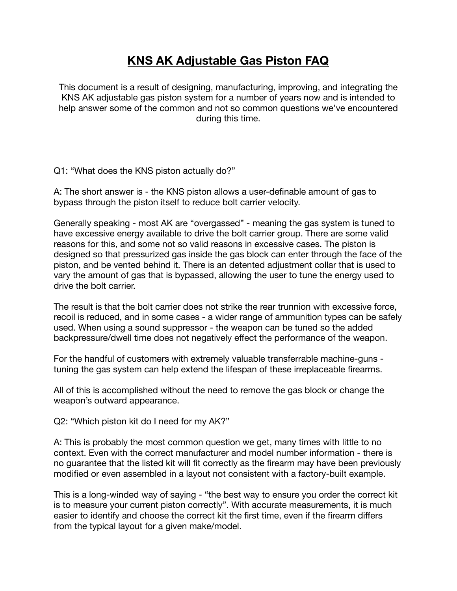## **KNS AK Adjustable Gas Piston FAQ**

This document is a result of designing, manufacturing, improving, and integrating the KNS AK adjustable gas piston system for a number of years now and is intended to help answer some of the common and not so common questions we've encountered during this time.

Q1: "What does the KNS piston actually do?"

A: The short answer is - the KNS piston allows a user-definable amount of gas to bypass through the piston itself to reduce bolt carrier velocity.

Generally speaking - most AK are "overgassed" - meaning the gas system is tuned to have excessive energy available to drive the bolt carrier group. There are some valid reasons for this, and some not so valid reasons in excessive cases. The piston is designed so that pressurized gas inside the gas block can enter through the face of the piston, and be vented behind it. There is an detented adjustment collar that is used to vary the amount of gas that is bypassed, allowing the user to tune the energy used to drive the bolt carrier.

The result is that the bolt carrier does not strike the rear trunnion with excessive force, recoil is reduced, and in some cases - a wider range of ammunition types can be safely used. When using a sound suppressor - the weapon can be tuned so the added backpressure/dwell time does not negatively effect the performance of the weapon.

For the handful of customers with extremely valuable transferrable machine-guns tuning the gas system can help extend the lifespan of these irreplaceable firearms.

All of this is accomplished without the need to remove the gas block or change the weapon's outward appearance.

Q2: "Which piston kit do I need for my AK?"

A: This is probably the most common question we get, many times with little to no context. Even with the correct manufacturer and model number information - there is no guarantee that the listed kit will fit correctly as the firearm may have been previously modified or even assembled in a layout not consistent with a factory-built example.

This is a long-winded way of saying - "the best way to ensure you order the correct kit is to measure your current piston correctly". With accurate measurements, it is much easier to identify and choose the correct kit the first time, even if the firearm differs from the typical layout for a given make/model.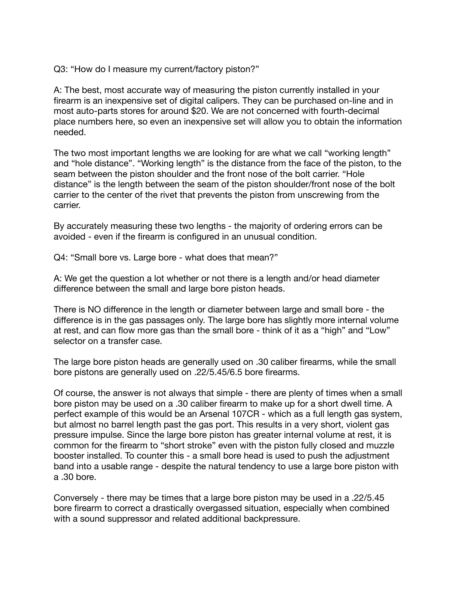Q3: "How do I measure my current/factory piston?"

A: The best, most accurate way of measuring the piston currently installed in your firearm is an inexpensive set of digital calipers. They can be purchased on-line and in most auto-parts stores for around \$20. We are not concerned with fourth-decimal place numbers here, so even an inexpensive set will allow you to obtain the information needed.

The two most important lengths we are looking for are what we call "working length" and "hole distance". "Working length" is the distance from the face of the piston, to the seam between the piston shoulder and the front nose of the bolt carrier. "Hole distance" is the length between the seam of the piston shoulder/front nose of the bolt carrier to the center of the rivet that prevents the piston from unscrewing from the carrier.

By accurately measuring these two lengths - the majority of ordering errors can be avoided - even if the firearm is configured in an unusual condition.

Q4: "Small bore vs. Large bore - what does that mean?"

A: We get the question a lot whether or not there is a length and/or head diameter difference between the small and large bore piston heads.

There is NO difference in the length or diameter between large and small bore - the difference is in the gas passages only. The large bore has slightly more internal volume at rest, and can flow more gas than the small bore - think of it as a "high" and "Low" selector on a transfer case.

The large bore piston heads are generally used on .30 caliber firearms, while the small bore pistons are generally used on .22/5.45/6.5 bore firearms.

Of course, the answer is not always that simple - there are plenty of times when a small bore piston may be used on a .30 caliber firearm to make up for a short dwell time. A perfect example of this would be an Arsenal 107CR - which as a full length gas system, but almost no barrel length past the gas port. This results in a very short, violent gas pressure impulse. Since the large bore piston has greater internal volume at rest, it is common for the firearm to "short stroke" even with the piston fully closed and muzzle booster installed. To counter this - a small bore head is used to push the adjustment band into a usable range - despite the natural tendency to use a large bore piston with a .30 bore.

Conversely - there may be times that a large bore piston may be used in a .22/5.45 bore firearm to correct a drastically overgassed situation, especially when combined with a sound suppressor and related additional backpressure.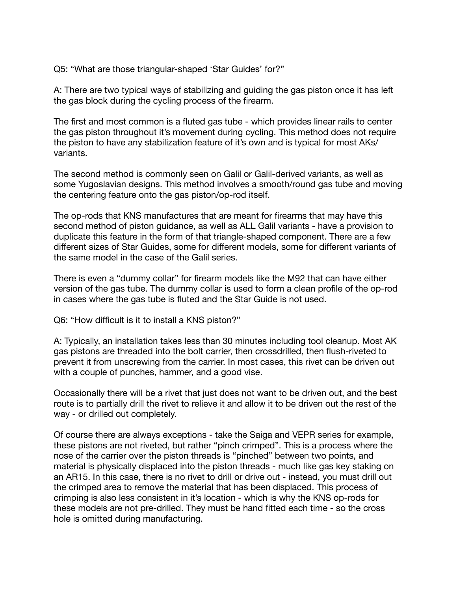Q5: "What are those triangular-shaped 'Star Guides' for?"

A: There are two typical ways of stabilizing and guiding the gas piston once it has left the gas block during the cycling process of the firearm.

The first and most common is a fluted gas tube - which provides linear rails to center the gas piston throughout it's movement during cycling. This method does not require the piston to have any stabilization feature of it's own and is typical for most AKs/ variants.

The second method is commonly seen on Galil or Galil-derived variants, as well as some Yugoslavian designs. This method involves a smooth/round gas tube and moving the centering feature onto the gas piston/op-rod itself.

The op-rods that KNS manufactures that are meant for firearms that may have this second method of piston guidance, as well as ALL Galil variants - have a provision to duplicate this feature in the form of that triangle-shaped component. There are a few different sizes of Star Guides, some for different models, some for different variants of the same model in the case of the Galil series.

There is even a "dummy collar" for firearm models like the M92 that can have either version of the gas tube. The dummy collar is used to form a clean profile of the op-rod in cases where the gas tube is fluted and the Star Guide is not used.

Q6: "How difficult is it to install a KNS piston?"

A: Typically, an installation takes less than 30 minutes including tool cleanup. Most AK gas pistons are threaded into the bolt carrier, then crossdrilled, then flush-riveted to prevent it from unscrewing from the carrier. In most cases, this rivet can be driven out with a couple of punches, hammer, and a good vise.

Occasionally there will be a rivet that just does not want to be driven out, and the best route is to partially drill the rivet to relieve it and allow it to be driven out the rest of the way - or drilled out completely.

Of course there are always exceptions - take the Saiga and VEPR series for example, these pistons are not riveted, but rather "pinch crimped". This is a process where the nose of the carrier over the piston threads is "pinched" between two points, and material is physically displaced into the piston threads - much like gas key staking on an AR15. In this case, there is no rivet to drill or drive out - instead, you must drill out the crimped area to remove the material that has been displaced. This process of crimping is also less consistent in it's location - which is why the KNS op-rods for these models are not pre-drilled. They must be hand fitted each time - so the cross hole is omitted during manufacturing.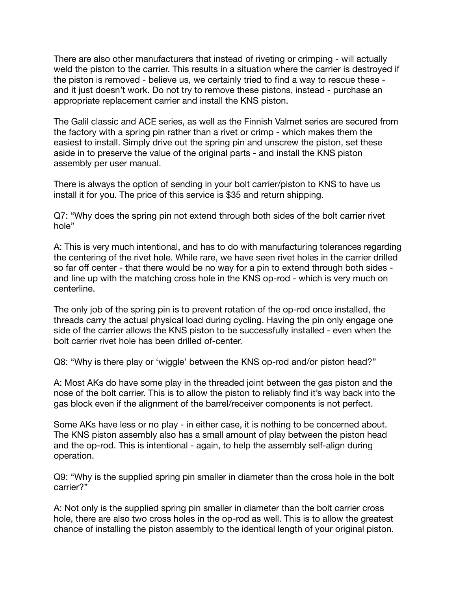There are also other manufacturers that instead of riveting or crimping - will actually weld the piston to the carrier. This results in a situation where the carrier is destroyed if the piston is removed - believe us, we certainly tried to find a way to rescue these and it just doesn't work. Do not try to remove these pistons, instead - purchase an appropriate replacement carrier and install the KNS piston.

The Galil classic and ACE series, as well as the Finnish Valmet series are secured from the factory with a spring pin rather than a rivet or crimp - which makes them the easiest to install. Simply drive out the spring pin and unscrew the piston, set these aside in to preserve the value of the original parts - and install the KNS piston assembly per user manual.

There is always the option of sending in your bolt carrier/piston to KNS to have us install it for you. The price of this service is \$35 and return shipping.

Q7: "Why does the spring pin not extend through both sides of the bolt carrier rivet hole"

A: This is very much intentional, and has to do with manufacturing tolerances regarding the centering of the rivet hole. While rare, we have seen rivet holes in the carrier drilled so far off center - that there would be no way for a pin to extend through both sides and line up with the matching cross hole in the KNS op-rod - which is very much on centerline.

The only job of the spring pin is to prevent rotation of the op-rod once installed, the threads carry the actual physical load during cycling. Having the pin only engage one side of the carrier allows the KNS piston to be successfully installed - even when the bolt carrier rivet hole has been drilled of-center.

Q8: "Why is there play or 'wiggle' between the KNS op-rod and/or piston head?"

A: Most AKs do have some play in the threaded joint between the gas piston and the nose of the bolt carrier. This is to allow the piston to reliably find it's way back into the gas block even if the alignment of the barrel/receiver components is not perfect.

Some AKs have less or no play - in either case, it is nothing to be concerned about. The KNS piston assembly also has a small amount of play between the piston head and the op-rod. This is intentional - again, to help the assembly self-align during operation.

Q9: "Why is the supplied spring pin smaller in diameter than the cross hole in the bolt carrier?"

A: Not only is the supplied spring pin smaller in diameter than the bolt carrier cross hole, there are also two cross holes in the op-rod as well. This is to allow the greatest chance of installing the piston assembly to the identical length of your original piston.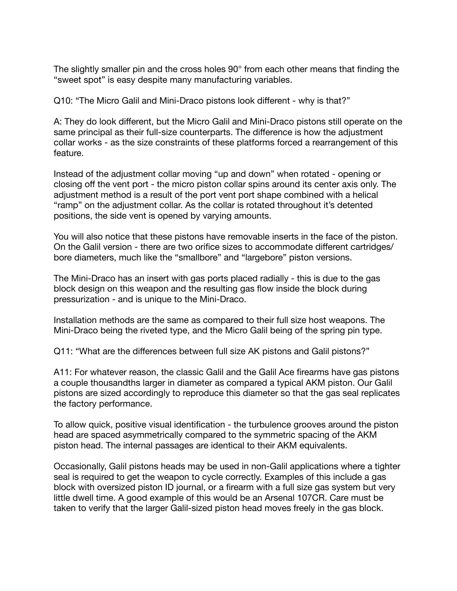The slightly smaller pin and the cross holes 90° from each other means that finding the "sweet spot" is easy despite many manufacturing variables.

Q10: "The Micro Galil and Mini-Draco pistons look different - why is that?"

A: They do look different, but the Micro Galil and Mini-Draco pistons still operate on the same principal as their full-size counterparts. The difference is how the adjustment collar works - as the size constraints of these platforms forced a rearrangement of this feature.

Instead of the adjustment collar moving "up and down" when rotated - opening or closing off the vent port - the micro piston collar spins around its center axis only. The adjustment method is a result of the port vent port shape combined with a helical "ramp" on the adjustment collar. As the collar is rotated throughout it's detented positions, the side vent is opened by varying amounts.

You will also notice that these pistons have removable inserts in the face of the piston. On the Galil version - there are two orifice sizes to accommodate different cartridges/ bore diameters, much like the "smallbore" and "largebore" piston versions.

The Mini-Draco has an insert with gas ports placed radially - this is due to the gas block design on this weapon and the resulting gas flow inside the block during pressurization - and is unique to the Mini-Draco.

Installation methods are the same as compared to their full size host weapons. The Mini-Draco being the riveted type, and the Micro Galil being of the spring pin type.

Q11: "What are the differences between full size AK pistons and Galil pistons?"

A11: For whatever reason, the classic Galil and the Galil Ace firearms have gas pistons a couple thousandths larger in diameter as compared a typical AKM piston. Our Galil pistons are sized accordingly to reproduce this diameter so that the gas seal replicates the factory performance.

To allow quick, positive visual identification - the turbulence grooves around the piston head are spaced asymmetrically compared to the symmetric spacing of the AKM piston head. The internal passages are identical to their AKM equivalents.

Occasionally, Galil pistons heads may be used in non-Galil applications where a tighter seal is required to get the weapon to cycle correctly. Examples of this include a gas block with oversized piston ID journal, or a firearm with a full size gas system but very little dwell time. A good example of this would be an Arsenal 107CR. Care must be taken to verify that the larger Galil-sized piston head moves freely in the gas block.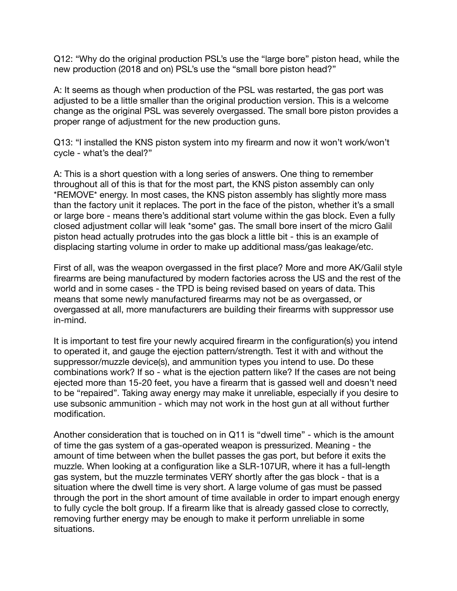Q12: "Why do the original production PSL's use the "large bore" piston head, while the new production (2018 and on) PSL's use the "small bore piston head?"

A: It seems as though when production of the PSL was restarted, the gas port was adjusted to be a little smaller than the original production version. This is a welcome change as the original PSL was severely overgassed. The small bore piston provides a proper range of adjustment for the new production guns.

Q13: "I installed the KNS piston system into my firearm and now it won't work/won't cycle - what's the deal?"

A: This is a short question with a long series of answers. One thing to remember throughout all of this is that for the most part, the KNS piston assembly can only \*REMOVE\* energy. In most cases, the KNS piston assembly has slightly more mass than the factory unit it replaces. The port in the face of the piston, whether it's a small or large bore - means there's additional start volume within the gas block. Even a fully closed adjustment collar will leak \*some\* gas. The small bore insert of the micro Galil piston head actually protrudes into the gas block a little bit - this is an example of displacing starting volume in order to make up additional mass/gas leakage/etc.

First of all, was the weapon overgassed in the first place? More and more AK/Galil style firearms are being manufactured by modern factories across the US and the rest of the world and in some cases - the TPD is being revised based on years of data. This means that some newly manufactured firearms may not be as overgassed, or overgassed at all, more manufacturers are building their firearms with suppressor use in-mind.

It is important to test fire your newly acquired firearm in the configuration(s) you intend to operated it, and gauge the ejection pattern/strength. Test it with and without the suppressor/muzzle device(s), and ammunition types you intend to use. Do these combinations work? If so - what is the ejection pattern like? If the cases are not being ejected more than 15-20 feet, you have a firearm that is gassed well and doesn't need to be "repaired". Taking away energy may make it unreliable, especially if you desire to use subsonic ammunition - which may not work in the host gun at all without further modification.

Another consideration that is touched on in Q11 is "dwell time" - which is the amount of time the gas system of a gas-operated weapon is pressurized. Meaning - the amount of time between when the bullet passes the gas port, but before it exits the muzzle. When looking at a configuration like a SLR-107UR, where it has a full-length gas system, but the muzzle terminates VERY shortly after the gas block - that is a situation where the dwell time is very short. A large volume of gas must be passed through the port in the short amount of time available in order to impart enough energy to fully cycle the bolt group. If a firearm like that is already gassed close to correctly, removing further energy may be enough to make it perform unreliable in some situations.